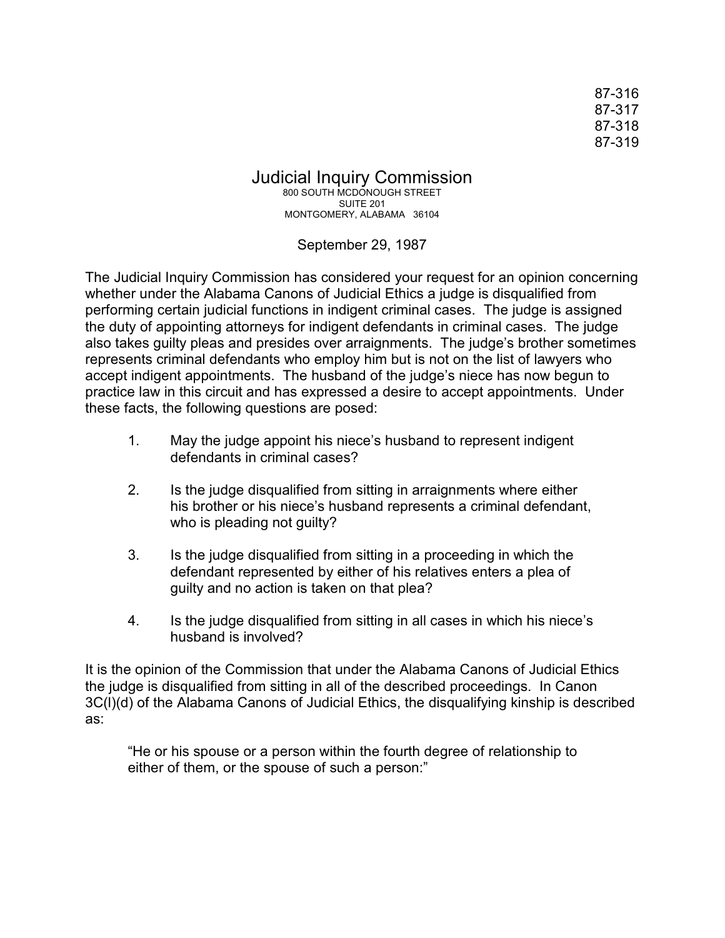87-316 87-317 87-318 87-319

Judicial Inquiry Commission 800 SOUTH MCDONOUGH STREET SUITE 201 MONTGOMERY, ALABAMA 36104

September 29, 1987

The Judicial Inquiry Commission has considered your request for an opinion concerning whether under the Alabama Canons of Judicial Ethics a judge is disqualified from performing certain judicial functions in indigent criminal cases. The judge is assigned the duty of appointing attorneys for indigent defendants in criminal cases. The judge also takes guilty pleas and presides over arraignments. The judge's brother sometimes represents criminal defendants who employ him but is not on the list of lawyers who accept indigent appointments. The husband of the judge's niece has now begun to practice law in this circuit and has expressed a desire to accept appointments. Under these facts, the following questions are posed:

- 1. May the judge appoint his niece's husband to represent indigent defendants in criminal cases?
- 2. Is the judge disqualified from sitting in arraignments where either his brother or his niece's husband represents a criminal defendant, who is pleading not guilty?
- 3. Is the judge disqualified from sitting in a proceeding in which the defendant represented by either of his relatives enters a plea of guilty and no action is taken on that plea?
- 4. Is the judge disqualified from sitting in all cases in which his niece's husband is involved?

It is the opinion of the Commission that under the Alabama Canons of Judicial Ethics the judge is disqualified from sitting in all of the described proceedings. In Canon 3C(l)(d) of the Alabama Canons of Judicial Ethics, the disqualifying kinship is described as:

"He or his spouse or a person within the fourth degree of relationship to either of them, or the spouse of such a person:"